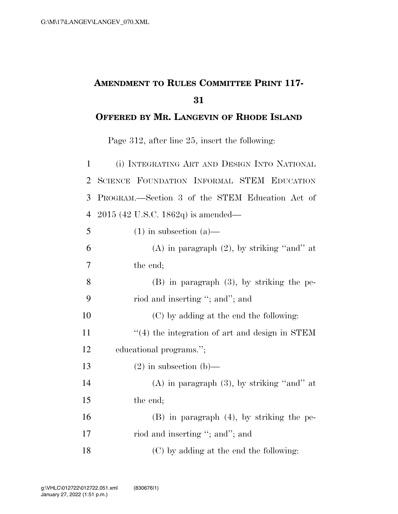## **AMENDMENT TO RULES COMMITTEE PRINT 117-**

## **OFFERED BY MR. LANGEVIN OF RHODE ISLAND**

Page 312, after line 25, insert the following:

| $\mathbf{1}$   | (i) INTEGRATING ART AND DESIGN INTO NATIONAL    |
|----------------|-------------------------------------------------|
| $\overline{2}$ | SCIENCE FOUNDATION INFORMAL STEM EDUCATION      |
| 3              | PROGRAM.—Section 3 of the STEM Education Act of |
| 4              | $2015$ (42 U.S.C. 1862q) is amended—            |
| 5              | $(1)$ in subsection $(a)$ —                     |
| 6              | $(A)$ in paragraph $(2)$ , by striking "and" at |
| 7              | the end;                                        |
| 8              | $(B)$ in paragraph $(3)$ , by striking the pe-  |
| 9              | riod and inserting "; and"; and                 |
| 10             | (C) by adding at the end the following:         |
| 11             | "(4) the integration of art and design in STEM  |
| 12             | educational programs.";                         |
| 13             | $(2)$ in subsection $(b)$ —                     |
| 14             | $(A)$ in paragraph $(3)$ , by striking "and" at |
| 15             | the end;                                        |
| 16             | $(B)$ in paragraph $(4)$ , by striking the pe-  |
| 17             | riod and inserting "; and"; and                 |
| 18             | (C) by adding at the end the following:         |